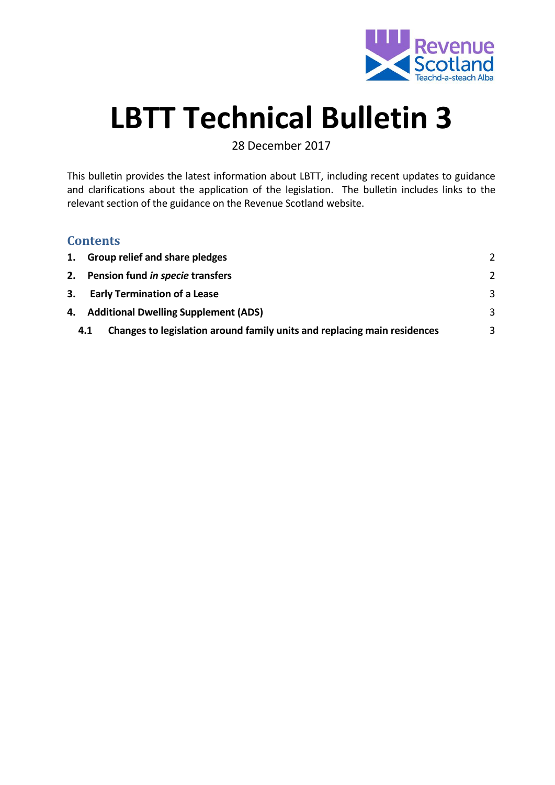

# **LBTT Technical Bulletin 3**

28 December 2017

This bulletin provides the latest information about LBTT, including recent updates to guidance and clarifications about the application of the legislation. The bulletin includes links to the relevant section of the guidance on the Revenue Scotland website.

#### **Contents**

| 1. Group relief and share pledges                                               |               |
|---------------------------------------------------------------------------------|---------------|
| 2. Pension fund in specie transfers                                             | $\mathcal{L}$ |
| 3. Early Termination of a Lease                                                 | 3             |
| 4. Additional Dwelling Supplement (ADS)                                         | 3             |
| Changes to legislation around family units and replacing main residences<br>4.1 | 3             |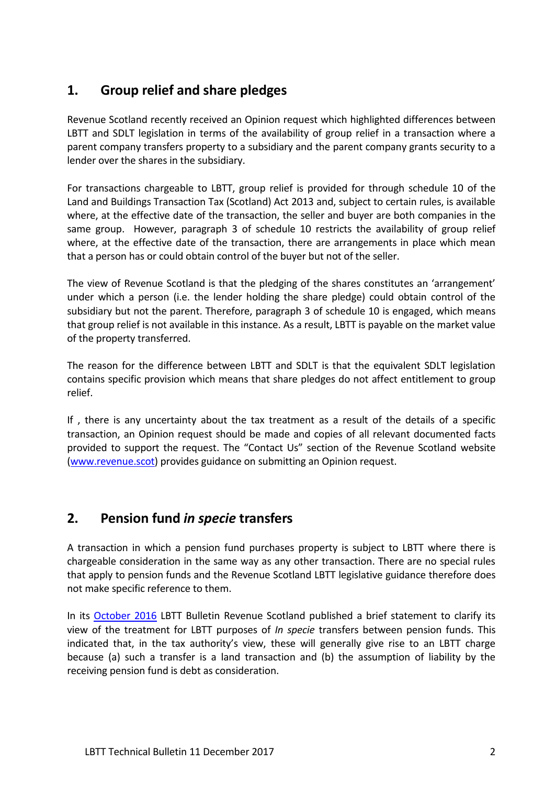## <span id="page-1-0"></span>**1. Group relief and share pledges**

Revenue Scotland recently received an Opinion request which highlighted differences between LBTT and SDLT legislation in terms of the availability of group relief in a transaction where a parent company transfers property to a subsidiary and the parent company grants security to a lender over the shares in the subsidiary.

For transactions chargeable to LBTT, group relief is provided for through schedule 10 of the Land and Buildings Transaction Tax (Scotland) Act 2013 and, subject to certain rules, is available where, at the effective date of the transaction, the seller and buyer are both companies in the same group. However, paragraph 3 of schedule 10 restricts the availability of group relief where, at the effective date of the transaction, there are arrangements in place which mean that a person has or could obtain control of the buyer but not of the seller.

The view of Revenue Scotland is that the pledging of the shares constitutes an 'arrangement' under which a person (i.e. the lender holding the share pledge) could obtain control of the subsidiary but not the parent. Therefore, paragraph 3 of schedule 10 is engaged, which means that group relief is not available in this instance. As a result, LBTT is payable on the market value of the property transferred.

The reason for the difference between LBTT and SDLT is that the equivalent SDLT legislation contains specific provision which means that share pledges do not affect entitlement to group relief.

If , there is any uncertainty about the tax treatment as a result of the details of a specific transaction, an Opinion request should be made and copies of all relevant documented facts provided to support the request. The "Contact Us" section of the Revenue Scotland website [\(www.revenue.scot\)](http://www.revenue.scot/) provides guidance on submitting an Opinion request.

#### <span id="page-1-1"></span>**2. Pension fund** *in specie* **transfers**

A transaction in which a pension fund purchases property is subject to LBTT where there is chargeable consideration in the same way as any other transaction. There are no special rules that apply to pension funds and the Revenue Scotland LBTT legislative guidance therefore does not make specific reference to them.

In its [October 2016](https://www.revenue.scot/sites/default/files/LBTT%20Technical%20Update%20-%2016%20October%202016.pdf) LBTT Bulletin Revenue Scotland published a brief statement to clarify its view of the treatment for LBTT purposes of *In specie* transfers between pension funds. This indicated that, in the tax authority's view, these will generally give rise to an LBTT charge because (a) such a transfer is a land transaction and (b) the assumption of liability by the receiving pension fund is debt as consideration.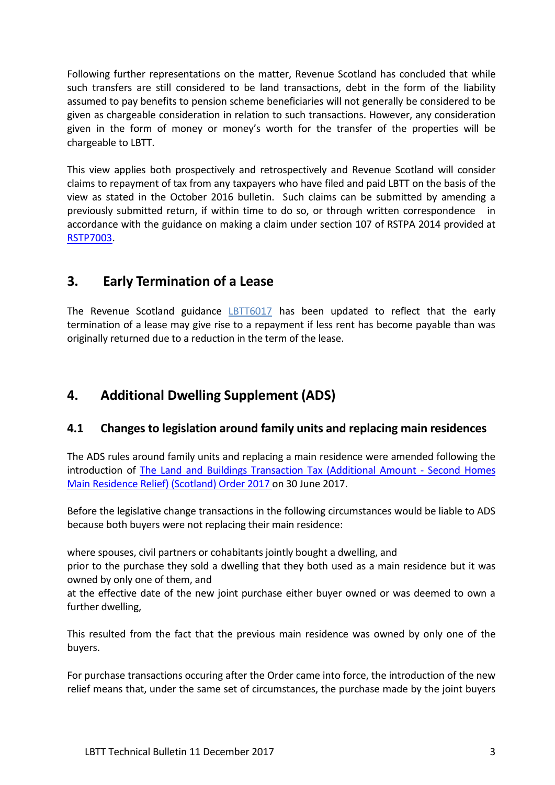Following further representations on the matter, Revenue Scotland has concluded that while such transfers are still considered to be land transactions, debt in the form of the liability assumed to pay benefits to pension scheme beneficiaries will not generally be considered to be given as chargeable consideration in relation to such transactions. However, any consideration given in the form of money or money's worth for the transfer of the properties will be chargeable to LBTT.

This view applies both prospectively and retrospectively and Revenue Scotland will consider claims to repayment of tax from any taxpayers who have filed and paid LBTT on the basis of the view as stated in the October 2016 bulletin. Such claims can be submitted by amending a previously submitted return, if within time to do so, or through written correspondence in accordance with the guidance on making a claim under section 107 of RSTPA 2014 provided at [RSTP7003.](https://www.revenue.scot/legislation/rstpa-legislation-guidance/claims-not-return/rstp7003)

### <span id="page-2-0"></span>**3. Early Termination of a Lease**

The Revenue Scotland guidance [LBTT6017](https://www.revenue.scot/land-buildings-transaction-tax/guidance/lbtt-legislation-guidance/leases/lbtt6017) has been updated to reflect that the early termination of a lease may give rise to a repayment if less rent has become payable than was originally returned due to a reduction in the term of the lease.

## <span id="page-2-1"></span>**4. Additional Dwelling Supplement (ADS)**

#### <span id="page-2-2"></span>**4.1 Changes to legislation around family units and replacing main residences**

The ADS rules around family units and replacing a main residence were amended following the introduction of [The Land and Buildings Transaction Tax \(Additional Amount -](http://www.legislation.gov.uk/ssi/2017/233/contents/made) Second Homes [Main Residence Relief\) \(Scotland\) Order 2017 o](http://www.legislation.gov.uk/ssi/2017/233/contents/made)n 30 June 2017.

Before the legislative change transactions in the following circumstances would be liable to ADS because both buyers were not replacing their main residence:

where spouses, civil partners or cohabitants jointly bought a dwelling, and

prior to the purchase they sold a dwelling that they both used as a main residence but it was owned by only one of them, and

at the effective date of the new joint purchase either buyer owned or was deemed to own a further dwelling,

This resulted from the fact that the previous main residence was owned by only one of the buyers.

For purchase transactions occuring after the Order came into force, the introduction of the new relief means that, under the same set of circumstances, the purchase made by the joint buyers